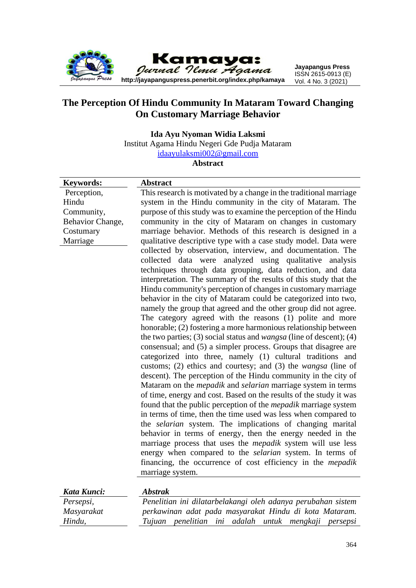

# **The Perception Of Hindu Community In Mataram Toward Changing On Customary Marriage Behavior**

**Ida Ayu Nyoman Widia Laksmi**

Institut Agama Hindu Negeri Gde Pudja Mataram

[idaayulaksmi002@gmail.com](mailto:idaayulaksmi002@gmail.com)

**Abstract**

| <b>Keywords:</b> | <b>Abstract</b>                                                             |
|------------------|-----------------------------------------------------------------------------|
| Perception,      | This research is motivated by a change in the traditional marriage          |
| Hindu            | system in the Hindu community in the city of Mataram. The                   |
| Community,       | purpose of this study was to examine the perception of the Hindu            |
| Behavior Change, | community in the city of Mataram on changes in customary                    |
| Costumary        | marriage behavior. Methods of this research is designed in a                |
| Marriage         | qualitative descriptive type with a case study model. Data were             |
|                  | collected by observation, interview, and documentation. The                 |
|                  | collected data were analyzed using qualitative<br>analysis                  |
|                  | techniques through data grouping, data reduction, and data                  |
|                  | interpretation. The summary of the results of this study that the           |
|                  | Hindu community's perception of changes in customary marriage               |
|                  | behavior in the city of Mataram could be categorized into two,              |
|                  | namely the group that agreed and the other group did not agree.             |
|                  | The category agreed with the reasons (1) polite and more                    |
|                  | honorable; (2) fostering a more harmonious relationship between             |
|                  | the two parties; (3) social status and <i>wangsa</i> (line of descent); (4) |
|                  | consensual; and (5) a simpler process. Groups that disagree are             |
|                  | categorized into three, namely (1) cultural traditions and                  |
|                  | customs; (2) ethics and courtesy; and (3) the <i>wangsa</i> (line of        |
|                  | descent). The perception of the Hindu community in the city of              |
|                  | Mataram on the <i>mepadik</i> and <i>selarian</i> marriage system in terms  |
|                  | of time, energy and cost. Based on the results of the study it was          |
|                  | found that the public perception of the <i>mepadik</i> marriage system      |
|                  | in terms of time, then the time used was less when compared to              |
|                  | the selarian system. The implications of changing marital                   |
|                  | behavior in terms of energy, then the energy needed in the                  |
|                  | marriage process that uses the <i>mepadik</i> system will use less          |
|                  | energy when compared to the selarian system. In terms of                    |
|                  | financing, the occurrence of cost efficiency in the <i>mepadik</i>          |
|                  | marriage system.                                                            |
|                  |                                                                             |
| Kata Kunci:      | <b>Abstrak</b>                                                              |
| Persepsi,        | Penelitian ini dilatarbelakangi oleh adanya perubahan sistem                |

*Masyarakat Hindu, perkawinan adat pada masyarakat Hindu di kota Mataram. Tujuan penelitian ini adalah untuk mengkaji persepsi*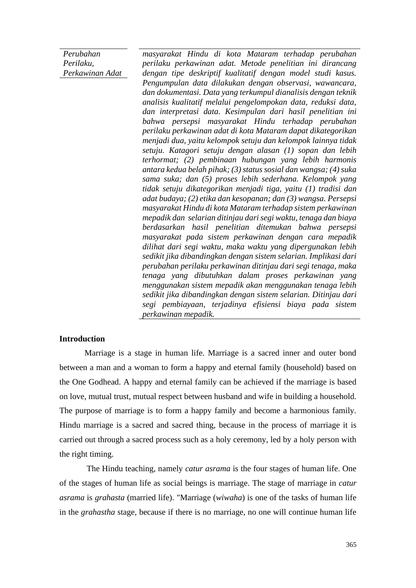*Perubahan Perilaku, Perkawinan Adat*

*masyarakat Hindu di kota Mataram terhadap perubahan perilaku perkawinan adat. Metode penelitian ini dirancang dengan tipe deskriptif kualitatif dengan model studi kasus. Pengumpulan data dilakukan dengan observasi, wawancara, dan dokumentasi. Data yang terkumpul dianalisis dengan teknik analisis kualitatif melalui pengelompokan data, reduksi data, dan interpretasi data. Kesimpulan dari hasil penelitian ini bahwa persepsi masyarakat Hindu terhadap perubahan perilaku perkawinan adat di kota Mataram dapat dikategorikan menjadi dua, yaitu kelompok setuju dan kelompok lainnya tidak setuju. Katagori setuju dengan alasan (1) sopan dan lebih terhormat; (2) pembinaan hubungan yang lebih harmonis antara kedua belah pihak; (3) status sosial dan wangsa; (4) suka sama suka; dan (5) proses lebih sederhana. Kelompok yang tidak setuju dikategorikan menjadi tiga, yaitu (1) tradisi dan adat budaya; (2) etika dan kesopanan; dan (3) wangsa. Persepsi masyarakat Hindu di kota Mataram terhadap sistem perkawinan mepadik dan selarian ditinjau dari segi waktu, tenaga dan biaya berdasarkan hasil penelitian ditemukan bahwa persepsi masyarakat pada sistem perkawinan dengan cara mepadik dilihat dari segi waktu, maka waktu yang dipergunakan lebih sedikit jika dibandingkan dengan sistem selarian. Implikasi dari perubahan perilaku perkawinan ditinjau dari segi tenaga, maka tenaga yang dibutuhkan dalam proses perkawinan yang menggunakan sistem mepadik akan menggunakan tenaga lebih sedikit jika dibandingkan dengan sistem selarian. Ditinjau dari segi pembiayaan, terjadinya efisiensi biaya pada sistem perkawinan mepadik.* 

## **Introduction**

Marriage is a stage in human life. Marriage is a sacred inner and outer bond between a man and a woman to form a happy and eternal family (household) based on the One Godhead. A happy and eternal family can be achieved if the marriage is based on love, mutual trust, mutual respect between husband and wife in building a household. The purpose of marriage is to form a happy family and become a harmonious family. Hindu marriage is a sacred and sacred thing, because in the process of marriage it is carried out through a sacred process such as a holy ceremony, led by a holy person with the right timing.

The Hindu teaching, namely *catur asrama* is the four stages of human life. One of the stages of human life as social beings is marriage. The stage of marriage in *catur asrama* is *grahasta* (married life). "Marriage (*wiwaha*) is one of the tasks of human life in the *grahastha* stage, because if there is no marriage, no one will continue human life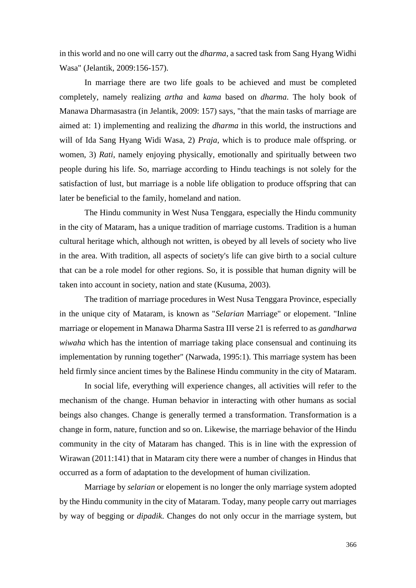in this world and no one will carry out the *dharma*, a sacred task from Sang Hyang Widhi Wasa" (Jelantik, 2009:156-157).

In marriage there are two life goals to be achieved and must be completed completely, namely realizing *artha* and *kama* based on *dharma*. The holy book of Manawa Dharmasastra (in Jelantik, 2009: 157) says, "that the main tasks of marriage are aimed at: 1) implementing and realizing the *dharma* in this world, the instructions and will of Ida Sang Hyang Widi Wasa, 2) *Praja*, which is to produce male offspring. or women, 3) *Rati*, namely enjoying physically, emotionally and spiritually between two people during his life. So, marriage according to Hindu teachings is not solely for the satisfaction of lust, but marriage is a noble life obligation to produce offspring that can later be beneficial to the family, homeland and nation.

The Hindu community in West Nusa Tenggara, especially the Hindu community in the city of Mataram, has a unique tradition of marriage customs. Tradition is a human cultural heritage which, although not written, is obeyed by all levels of society who live in the area. With tradition, all aspects of society's life can give birth to a social culture that can be a role model for other regions. So, it is possible that human dignity will be taken into account in society, nation and state (Kusuma, 2003).

The tradition of marriage procedures in West Nusa Tenggara Province, especially in the unique city of Mataram, is known as "*Selarian* Marriage" or elopement. "Inline marriage or elopement in Manawa Dharma Sastra III verse 21 is referred to as *gandharwa wiwaha* which has the intention of marriage taking place consensual and continuing its implementation by running together" (Narwada, 1995:1). This marriage system has been held firmly since ancient times by the Balinese Hindu community in the city of Mataram.

In social life, everything will experience changes, all activities will refer to the mechanism of the change. Human behavior in interacting with other humans as social beings also changes. Change is generally termed a transformation. Transformation is a change in form, nature, function and so on. Likewise, the marriage behavior of the Hindu community in the city of Mataram has changed. This is in line with the expression of Wirawan (2011:141) that in Mataram city there were a number of changes in Hindus that occurred as a form of adaptation to the development of human civilization.

Marriage by *selarian* or elopement is no longer the only marriage system adopted by the Hindu community in the city of Mataram. Today, many people carry out marriages by way of begging or *dipadik*. Changes do not only occur in the marriage system, but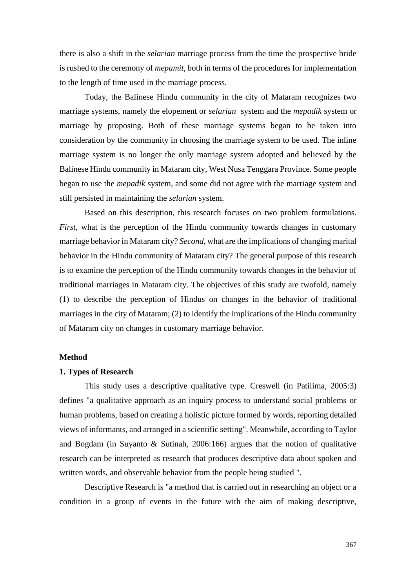there is also a shift in the *selarian* marriage process from the time the prospective bride is rushed to the ceremony of *mepamit*, both in terms of the procedures for implementation to the length of time used in the marriage process.

Today, the Balinese Hindu community in the city of Mataram recognizes two marriage systems, namely the elopement or *selarian* system and the *mepadik* system or marriage by proposing. Both of these marriage systems began to be taken into consideration by the community in choosing the marriage system to be used. The inline marriage system is no longer the only marriage system adopted and believed by the Balinese Hindu community in Mataram city, West Nusa Tenggara Province. Some people began to use the *mepadik* system, and some did not agree with the marriage system and still persisted in maintaining the *selarian* system.

Based on this description, this research focuses on two problem formulations. *First*, what is the perception of the Hindu community towards changes in customary marriage behavior in Mataram city? *Second*, what are the implications of changing marital behavior in the Hindu community of Mataram city? The general purpose of this research is to examine the perception of the Hindu community towards changes in the behavior of traditional marriages in Mataram city. The objectives of this study are twofold, namely (1) to describe the perception of Hindus on changes in the behavior of traditional marriages in the city of Mataram; (2) to identify the implications of the Hindu community of Mataram city on changes in customary marriage behavior.

### **Method**

#### **1. Types of Research**

This study uses a descriptive qualitative type. Creswell (in Patilima, 2005:3) defines "a qualitative approach as an inquiry process to understand social problems or human problems, based on creating a holistic picture formed by words, reporting detailed views of informants, and arranged in a scientific setting". Meanwhile, according to Taylor and Bogdam (in Suyanto & Sutinah, 2006:166) argues that the notion of qualitative research can be interpreted as research that produces descriptive data about spoken and written words, and observable behavior from the people being studied ".

Descriptive Research is "a method that is carried out in researching an object or a condition in a group of events in the future with the aim of making descriptive,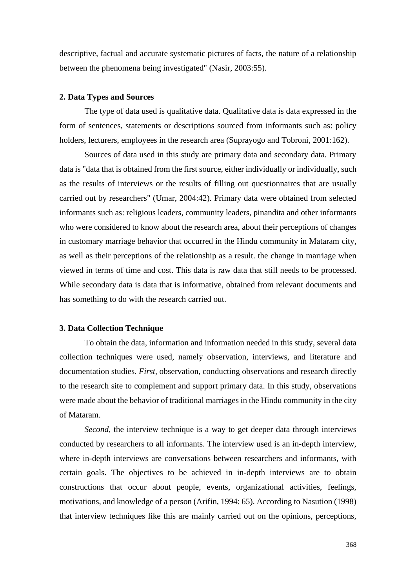descriptive, factual and accurate systematic pictures of facts, the nature of a relationship between the phenomena being investigated" (Nasir, 2003:55).

## **2. Data Types and Sources**

The type of data used is qualitative data. Qualitative data is data expressed in the form of sentences, statements or descriptions sourced from informants such as: policy holders, lecturers, employees in the research area (Suprayogo and Tobroni, 2001:162).

Sources of data used in this study are primary data and secondary data. Primary data is "data that is obtained from the first source, either individually or individually, such as the results of interviews or the results of filling out questionnaires that are usually carried out by researchers" (Umar, 2004:42). Primary data were obtained from selected informants such as: religious leaders, community leaders, pinandita and other informants who were considered to know about the research area, about their perceptions of changes in customary marriage behavior that occurred in the Hindu community in Mataram city, as well as their perceptions of the relationship as a result. the change in marriage when viewed in terms of time and cost. This data is raw data that still needs to be processed. While secondary data is data that is informative, obtained from relevant documents and has something to do with the research carried out.

## **3. Data Collection Technique**

To obtain the data, information and information needed in this study, several data collection techniques were used, namely observation, interviews, and literature and documentation studies. *First*, observation, conducting observations and research directly to the research site to complement and support primary data. In this study, observations were made about the behavior of traditional marriages in the Hindu community in the city of Mataram.

*Second*, the interview technique is a way to get deeper data through interviews conducted by researchers to all informants. The interview used is an in-depth interview, where in-depth interviews are conversations between researchers and informants, with certain goals. The objectives to be achieved in in-depth interviews are to obtain constructions that occur about people, events, organizational activities, feelings, motivations, and knowledge of a person (Arifin, 1994: 65). According to Nasution (1998) that interview techniques like this are mainly carried out on the opinions, perceptions,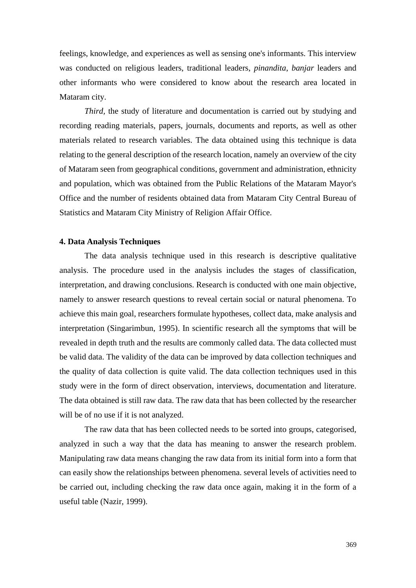feelings, knowledge, and experiences as well as sensing one's informants. This interview was conducted on religious leaders, traditional leaders, *pinandita*, *banjar* leaders and other informants who were considered to know about the research area located in Mataram city.

*Third*, the study of literature and documentation is carried out by studying and recording reading materials, papers, journals, documents and reports, as well as other materials related to research variables. The data obtained using this technique is data relating to the general description of the research location, namely an overview of the city of Mataram seen from geographical conditions, government and administration, ethnicity and population, which was obtained from the Public Relations of the Mataram Mayor's Office and the number of residents obtained data from Mataram City Central Bureau of Statistics and Mataram City Ministry of Religion Affair Office.

## **4. Data Analysis Techniques**

The data analysis technique used in this research is descriptive qualitative analysis. The procedure used in the analysis includes the stages of classification, interpretation, and drawing conclusions. Research is conducted with one main objective, namely to answer research questions to reveal certain social or natural phenomena. To achieve this main goal, researchers formulate hypotheses, collect data, make analysis and interpretation (Singarimbun, 1995). In scientific research all the symptoms that will be revealed in depth truth and the results are commonly called data. The data collected must be valid data. The validity of the data can be improved by data collection techniques and the quality of data collection is quite valid. The data collection techniques used in this study were in the form of direct observation, interviews, documentation and literature. The data obtained is still raw data. The raw data that has been collected by the researcher will be of no use if it is not analyzed.

The raw data that has been collected needs to be sorted into groups, categorised, analyzed in such a way that the data has meaning to answer the research problem. Manipulating raw data means changing the raw data from its initial form into a form that can easily show the relationships between phenomena. several levels of activities need to be carried out, including checking the raw data once again, making it in the form of a useful table (Nazir, 1999).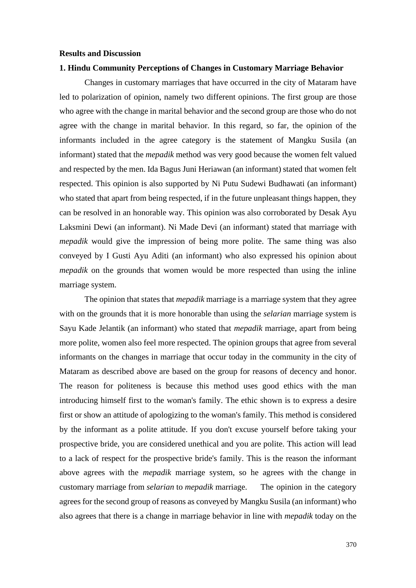#### **Results and Discussion**

# **1. Hindu Community Perceptions of Changes in Customary Marriage Behavior**

Changes in customary marriages that have occurred in the city of Mataram have led to polarization of opinion, namely two different opinions. The first group are those who agree with the change in marital behavior and the second group are those who do not agree with the change in marital behavior. In this regard, so far, the opinion of the informants included in the agree category is the statement of Mangku Susila (an informant) stated that the *mepadik* method was very good because the women felt valued and respected by the men. Ida Bagus Juni Heriawan (an informant) stated that women felt respected. This opinion is also supported by Ni Putu Sudewi Budhawati (an informant) who stated that apart from being respected, if in the future unpleasant things happen, they can be resolved in an honorable way. This opinion was also corroborated by Desak Ayu Laksmini Dewi (an informant). Ni Made Devi (an informant) stated that marriage with *mepadik* would give the impression of being more polite. The same thing was also conveyed by I Gusti Ayu Aditi (an informant) who also expressed his opinion about *mepadik* on the grounds that women would be more respected than using the inline marriage system.

The opinion that states that *mepadik* marriage is a marriage system that they agree with on the grounds that it is more honorable than using the *selarian* marriage system is Sayu Kade Jelantik (an informant) who stated that *mepadik* marriage, apart from being more polite, women also feel more respected. The opinion groups that agree from several informants on the changes in marriage that occur today in the community in the city of Mataram as described above are based on the group for reasons of decency and honor. The reason for politeness is because this method uses good ethics with the man introducing himself first to the woman's family. The ethic shown is to express a desire first or show an attitude of apologizing to the woman's family. This method is considered by the informant as a polite attitude. If you don't excuse yourself before taking your prospective bride, you are considered unethical and you are polite. This action will lead to a lack of respect for the prospective bride's family. This is the reason the informant above agrees with the *mepadik* marriage system, so he agrees with the change in customary marriage from *selarian* to *mepadik* marriage. The opinion in the category agrees for the second group of reasons as conveyed by Mangku Susila (an informant) who also agrees that there is a change in marriage behavior in line with *mepadik* today on the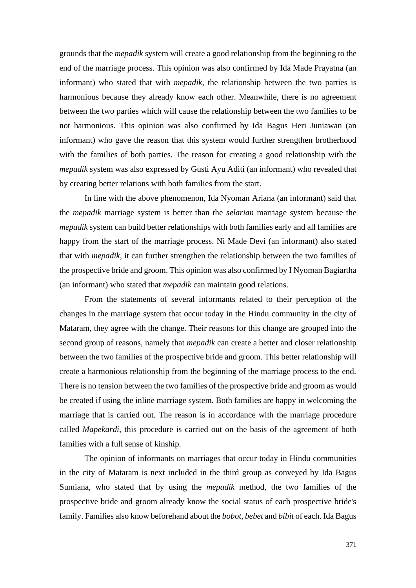grounds that the *mepadik* system will create a good relationship from the beginning to the end of the marriage process. This opinion was also confirmed by Ida Made Prayatna (an informant) who stated that with *mepadik*, the relationship between the two parties is harmonious because they already know each other. Meanwhile, there is no agreement between the two parties which will cause the relationship between the two families to be not harmonious. This opinion was also confirmed by Ida Bagus Heri Juniawan (an informant) who gave the reason that this system would further strengthen brotherhood with the families of both parties. The reason for creating a good relationship with the *mepadik* system was also expressed by Gusti Ayu Aditi (an informant) who revealed that by creating better relations with both families from the start.

In line with the above phenomenon, Ida Nyoman Ariana (an informant) said that the *mepadik* marriage system is better than the *selarian* marriage system because the *mepadik* system can build better relationships with both families early and all families are happy from the start of the marriage process. Ni Made Devi (an informant) also stated that with *mepadik*, it can further strengthen the relationship between the two families of the prospective bride and groom. This opinion was also confirmed by I Nyoman Bagiartha (an informant) who stated that *mepadik* can maintain good relations.

From the statements of several informants related to their perception of the changes in the marriage system that occur today in the Hindu community in the city of Mataram, they agree with the change. Their reasons for this change are grouped into the second group of reasons, namely that *mepadik* can create a better and closer relationship between the two families of the prospective bride and groom. This better relationship will create a harmonious relationship from the beginning of the marriage process to the end. There is no tension between the two families of the prospective bride and groom as would be created if using the inline marriage system. Both families are happy in welcoming the marriage that is carried out. The reason is in accordance with the marriage procedure called *Mapekardi*, this procedure is carried out on the basis of the agreement of both families with a full sense of kinship.

The opinion of informants on marriages that occur today in Hindu communities in the city of Mataram is next included in the third group as conveyed by Ida Bagus Sumiana, who stated that by using the *mepadik* method, the two families of the prospective bride and groom already know the social status of each prospective bride's family. Families also know beforehand about the *bobot*, *bebet* and *bibit* of each. Ida Bagus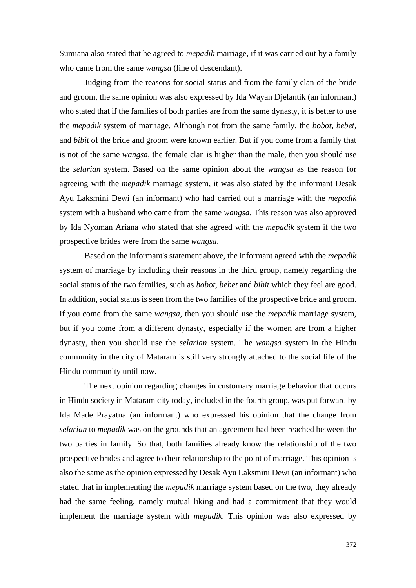Sumiana also stated that he agreed to *mepadik* marriage, if it was carried out by a family who came from the same *wangsa* (line of descendant).

Judging from the reasons for social status and from the family clan of the bride and groom, the same opinion was also expressed by Ida Wayan Djelantik (an informant) who stated that if the families of both parties are from the same dynasty, it is better to use the *mepadik* system of marriage. Although not from the same family, the *bobot, bebet,*  and *bibit* of the bride and groom were known earlier. But if you come from a family that is not of the same *wangsa*, the female clan is higher than the male, then you should use the *selarian* system. Based on the same opinion about the *wangsa* as the reason for agreeing with the *mepadik* marriage system, it was also stated by the informant Desak Ayu Laksmini Dewi (an informant) who had carried out a marriage with the *mepadik* system with a husband who came from the same *wangsa*. This reason was also approved by Ida Nyoman Ariana who stated that she agreed with the *mepadik* system if the two prospective brides were from the same *wangsa*.

Based on the informant's statement above, the informant agreed with the *mepadik* system of marriage by including their reasons in the third group, namely regarding the social status of the two families, such as *bobot, bebet* and *bibit* which they feel are good. In addition, social status is seen from the two families of the prospective bride and groom. If you come from the same *wangsa*, then you should use the *mepadik* marriage system, but if you come from a different dynasty, especially if the women are from a higher dynasty, then you should use the *selarian* system. The *wangsa* system in the Hindu community in the city of Mataram is still very strongly attached to the social life of the Hindu community until now.

The next opinion regarding changes in customary marriage behavior that occurs in Hindu society in Mataram city today, included in the fourth group, was put forward by Ida Made Prayatna (an informant) who expressed his opinion that the change from *selarian* to *mepadik* was on the grounds that an agreement had been reached between the two parties in family. So that, both families already know the relationship of the two prospective brides and agree to their relationship to the point of marriage. This opinion is also the same as the opinion expressed by Desak Ayu Laksmini Dewi (an informant) who stated that in implementing the *mepadik* marriage system based on the two, they already had the same feeling, namely mutual liking and had a commitment that they would implement the marriage system with *mepadik*. This opinion was also expressed by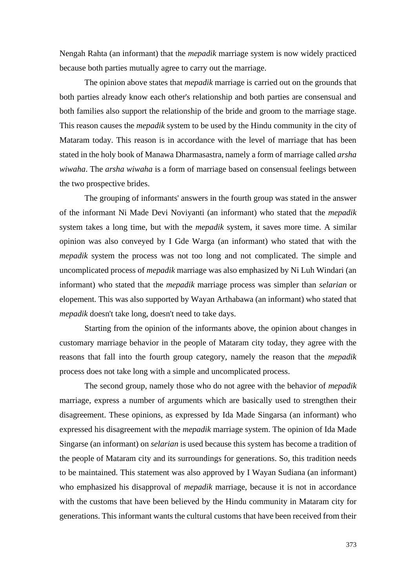Nengah Rahta (an informant) that the *mepadik* marriage system is now widely practiced because both parties mutually agree to carry out the marriage.

The opinion above states that *mepadik* marriage is carried out on the grounds that both parties already know each other's relationship and both parties are consensual and both families also support the relationship of the bride and groom to the marriage stage. This reason causes the *mepadik* system to be used by the Hindu community in the city of Mataram today. This reason is in accordance with the level of marriage that has been stated in the holy book of Manawa Dharmasastra, namely a form of marriage called *arsha wiwaha*. The *arsha wiwaha* is a form of marriage based on consensual feelings between the two prospective brides.

The grouping of informants' answers in the fourth group was stated in the answer of the informant Ni Made Devi Noviyanti (an informant) who stated that the *mepadik* system takes a long time, but with the *mepadik* system, it saves more time. A similar opinion was also conveyed by I Gde Warga (an informant) who stated that with the *mepadik* system the process was not too long and not complicated. The simple and uncomplicated process of *mepadik* marriage was also emphasized by Ni Luh Windari (an informant) who stated that the *mepadik* marriage process was simpler than *selarian* or elopement. This was also supported by Wayan Arthabawa (an informant) who stated that *mepadik* doesn't take long, doesn't need to take days.

Starting from the opinion of the informants above, the opinion about changes in customary marriage behavior in the people of Mataram city today, they agree with the reasons that fall into the fourth group category, namely the reason that the *mepadik* process does not take long with a simple and uncomplicated process.

The second group, namely those who do not agree with the behavior of *mepadik* marriage, express a number of arguments which are basically used to strengthen their disagreement. These opinions, as expressed by Ida Made Singarsa (an informant) who expressed his disagreement with the *mepadik* marriage system. The opinion of Ida Made Singarse (an informant) on *selarian* is used because this system has become a tradition of the people of Mataram city and its surroundings for generations. So, this tradition needs to be maintained. This statement was also approved by I Wayan Sudiana (an informant) who emphasized his disapproval of *mepadik* marriage, because it is not in accordance with the customs that have been believed by the Hindu community in Mataram city for generations. This informant wants the cultural customs that have been received from their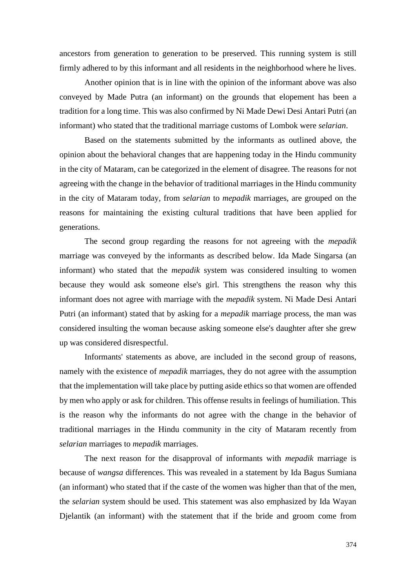ancestors from generation to generation to be preserved. This running system is still firmly adhered to by this informant and all residents in the neighborhood where he lives.

Another opinion that is in line with the opinion of the informant above was also conveyed by Made Putra (an informant) on the grounds that elopement has been a tradition for a long time. This was also confirmed by Ni Made Dewi Desi Antari Putri (an informant) who stated that the traditional marriage customs of Lombok were *selarian*.

Based on the statements submitted by the informants as outlined above, the opinion about the behavioral changes that are happening today in the Hindu community in the city of Mataram, can be categorized in the element of disagree. The reasons for not agreeing with the change in the behavior of traditional marriages in the Hindu community in the city of Mataram today, from *selarian* to *mepadik* marriages, are grouped on the reasons for maintaining the existing cultural traditions that have been applied for generations.

The second group regarding the reasons for not agreeing with the *mepadik* marriage was conveyed by the informants as described below. Ida Made Singarsa (an informant) who stated that the *mepadik* system was considered insulting to women because they would ask someone else's girl. This strengthens the reason why this informant does not agree with marriage with the *mepadik* system. Ni Made Desi Antari Putri (an informant) stated that by asking for a *mepadik* marriage process, the man was considered insulting the woman because asking someone else's daughter after she grew up was considered disrespectful.

Informants' statements as above, are included in the second group of reasons, namely with the existence of *mepadik* marriages, they do not agree with the assumption that the implementation will take place by putting aside ethics so that women are offended by men who apply or ask for children. This offense results in feelings of humiliation. This is the reason why the informants do not agree with the change in the behavior of traditional marriages in the Hindu community in the city of Mataram recently from *selarian* marriages to *mepadik* marriages.

The next reason for the disapproval of informants with *mepadik* marriage is because of *wangsa* differences. This was revealed in a statement by Ida Bagus Sumiana (an informant) who stated that if the caste of the women was higher than that of the men, the *selarian* system should be used. This statement was also emphasized by Ida Wayan Djelantik (an informant) with the statement that if the bride and groom come from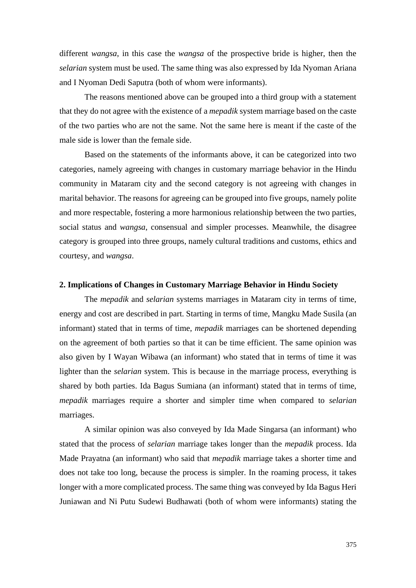different *wangsa*, in this case the *wangsa* of the prospective bride is higher, then the *selarian* system must be used. The same thing was also expressed by Ida Nyoman Ariana and I Nyoman Dedi Saputra (both of whom were informants).

The reasons mentioned above can be grouped into a third group with a statement that they do not agree with the existence of a *mepadik* system marriage based on the caste of the two parties who are not the same. Not the same here is meant if the caste of the male side is lower than the female side.

Based on the statements of the informants above, it can be categorized into two categories, namely agreeing with changes in customary marriage behavior in the Hindu community in Mataram city and the second category is not agreeing with changes in marital behavior. The reasons for agreeing can be grouped into five groups, namely polite and more respectable, fostering a more harmonious relationship between the two parties, social status and *wangsa*, consensual and simpler processes. Meanwhile, the disagree category is grouped into three groups, namely cultural traditions and customs, ethics and courtesy, and *wangsa*.

#### **2. Implications of Changes in Customary Marriage Behavior in Hindu Society**

The *mepadik* and *selarian* systems marriages in Mataram city in terms of time, energy and cost are described in part. Starting in terms of time, Mangku Made Susila (an informant) stated that in terms of time, *mepadik* marriages can be shortened depending on the agreement of both parties so that it can be time efficient. The same opinion was also given by I Wayan Wibawa (an informant) who stated that in terms of time it was lighter than the *selarian* system. This is because in the marriage process, everything is shared by both parties. Ida Bagus Sumiana (an informant) stated that in terms of time, *mepadik* marriages require a shorter and simpler time when compared to *selarian* marriages.

A similar opinion was also conveyed by Ida Made Singarsa (an informant) who stated that the process of *selarian* marriage takes longer than the *mepadik* process. Ida Made Prayatna (an informant) who said that *mepadik* marriage takes a shorter time and does not take too long, because the process is simpler. In the roaming process, it takes longer with a more complicated process. The same thing was conveyed by Ida Bagus Heri Juniawan and Ni Putu Sudewi Budhawati (both of whom were informants) stating the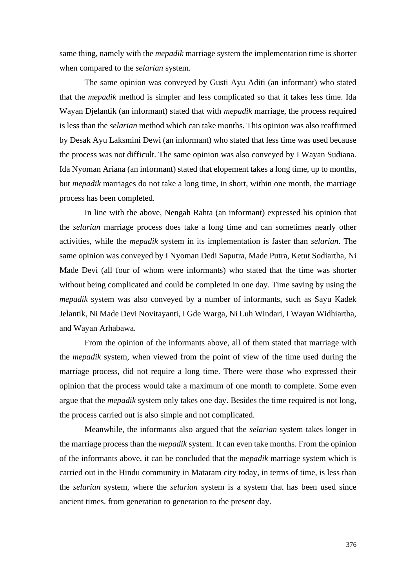same thing, namely with the *mepadik* marriage system the implementation time is shorter when compared to the *selarian* system.

The same opinion was conveyed by Gusti Ayu Aditi (an informant) who stated that the *mepadik* method is simpler and less complicated so that it takes less time. Ida Wayan Djelantik (an informant) stated that with *mepadik* marriage, the process required is less than the *selarian* method which can take months. This opinion was also reaffirmed by Desak Ayu Laksmini Dewi (an informant) who stated that less time was used because the process was not difficult. The same opinion was also conveyed by I Wayan Sudiana. Ida Nyoman Ariana (an informant) stated that elopement takes a long time, up to months, but *mepadik* marriages do not take a long time, in short, within one month, the marriage process has been completed.

In line with the above, Nengah Rahta (an informant) expressed his opinion that the *selarian* marriage process does take a long time and can sometimes nearly other activities, while the *mepadik* system in its implementation is faster than *selarian*. The same opinion was conveyed by I Nyoman Dedi Saputra, Made Putra, Ketut Sodiartha, Ni Made Devi (all four of whom were informants) who stated that the time was shorter without being complicated and could be completed in one day. Time saving by using the *mepadik* system was also conveyed by a number of informants, such as Sayu Kadek Jelantik, Ni Made Devi Novitayanti, I Gde Warga, Ni Luh Windari, I Wayan Widhiartha, and Wayan Arhabawa.

From the opinion of the informants above, all of them stated that marriage with the *mepadik* system, when viewed from the point of view of the time used during the marriage process, did not require a long time. There were those who expressed their opinion that the process would take a maximum of one month to complete. Some even argue that the *mepadik* system only takes one day. Besides the time required is not long, the process carried out is also simple and not complicated.

Meanwhile, the informants also argued that the *selarian* system takes longer in the marriage process than the *mepadik* system. It can even take months. From the opinion of the informants above, it can be concluded that the *mepadik* marriage system which is carried out in the Hindu community in Mataram city today, in terms of time, is less than the *selarian* system, where the *selarian* system is a system that has been used since ancient times. from generation to generation to the present day.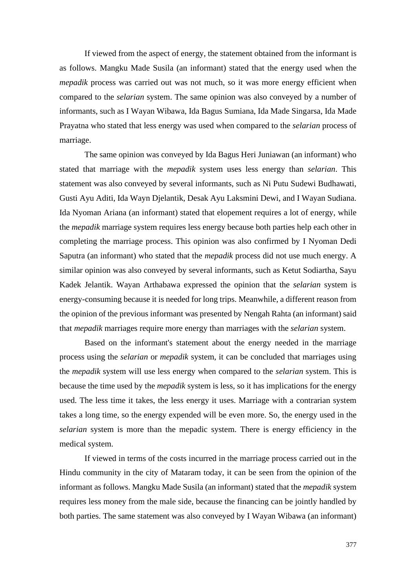If viewed from the aspect of energy, the statement obtained from the informant is as follows. Mangku Made Susila (an informant) stated that the energy used when the *mepadik* process was carried out was not much, so it was more energy efficient when compared to the *selarian* system. The same opinion was also conveyed by a number of informants, such as I Wayan Wibawa, Ida Bagus Sumiana, Ida Made Singarsa, Ida Made Prayatna who stated that less energy was used when compared to the *selarian* process of marriage.

The same opinion was conveyed by Ida Bagus Heri Juniawan (an informant) who stated that marriage with the *mepadik* system uses less energy than *selarian*. This statement was also conveyed by several informants, such as Ni Putu Sudewi Budhawati, Gusti Ayu Aditi, Ida Wayn Djelantik, Desak Ayu Laksmini Dewi, and I Wayan Sudiana. Ida Nyoman Ariana (an informant) stated that elopement requires a lot of energy, while the *mepadik* marriage system requires less energy because both parties help each other in completing the marriage process. This opinion was also confirmed by I Nyoman Dedi Saputra (an informant) who stated that the *mepadik* process did not use much energy. A similar opinion was also conveyed by several informants, such as Ketut Sodiartha, Sayu Kadek Jelantik. Wayan Arthabawa expressed the opinion that the *selarian* system is energy-consuming because it is needed for long trips. Meanwhile, a different reason from the opinion of the previous informant was presented by Nengah Rahta (an informant) said that *mepadik* marriages require more energy than marriages with the *selarian* system.

Based on the informant's statement about the energy needed in the marriage process using the *selarian* or *mepadik* system, it can be concluded that marriages using the *mepadik* system will use less energy when compared to the *selarian* system. This is because the time used by the *mepadik* system is less, so it has implications for the energy used. The less time it takes, the less energy it uses. Marriage with a contrarian system takes a long time, so the energy expended will be even more. So, the energy used in the *selarian* system is more than the mepadic system. There is energy efficiency in the medical system.

If viewed in terms of the costs incurred in the marriage process carried out in the Hindu community in the city of Mataram today, it can be seen from the opinion of the informant as follows. Mangku Made Susila (an informant) stated that the *mepadik* system requires less money from the male side, because the financing can be jointly handled by both parties. The same statement was also conveyed by I Wayan Wibawa (an informant)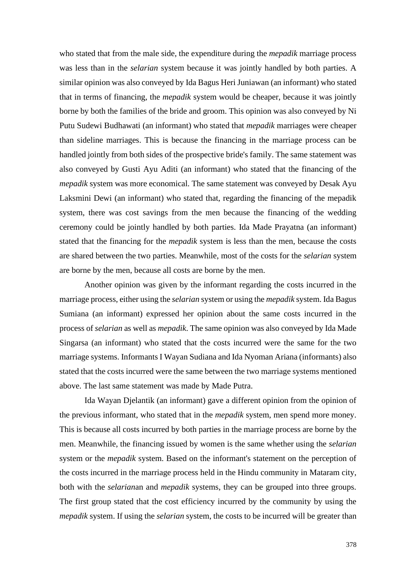who stated that from the male side, the expenditure during the *mepadik* marriage process was less than in the *selarian* system because it was jointly handled by both parties. A similar opinion was also conveyed by Ida Bagus Heri Juniawan (an informant) who stated that in terms of financing, the *mepadik* system would be cheaper, because it was jointly borne by both the families of the bride and groom. This opinion was also conveyed by Ni Putu Sudewi Budhawati (an informant) who stated that *mepadik* marriages were cheaper than sideline marriages. This is because the financing in the marriage process can be handled jointly from both sides of the prospective bride's family. The same statement was also conveyed by Gusti Ayu Aditi (an informant) who stated that the financing of the *mepadik* system was more economical. The same statement was conveyed by Desak Ayu Laksmini Dewi (an informant) who stated that, regarding the financing of the mepadik system, there was cost savings from the men because the financing of the wedding ceremony could be jointly handled by both parties. Ida Made Prayatna (an informant) stated that the financing for the *mepadik* system is less than the men, because the costs are shared between the two parties. Meanwhile, most of the costs for the *selarian* system are borne by the men, because all costs are borne by the men.

Another opinion was given by the informant regarding the costs incurred in the marriage process, either using the *selarian* system or using the *mepadik* system. Ida Bagus Sumiana (an informant) expressed her opinion about the same costs incurred in the process of *selarian* as well as *mepadik*. The same opinion was also conveyed by Ida Made Singarsa (an informant) who stated that the costs incurred were the same for the two marriage systems. Informants I Wayan Sudiana and Ida Nyoman Ariana (informants) also stated that the costs incurred were the same between the two marriage systems mentioned above. The last same statement was made by Made Putra.

Ida Wayan Djelantik (an informant) gave a different opinion from the opinion of the previous informant, who stated that in the *mepadik* system, men spend more money. This is because all costs incurred by both parties in the marriage process are borne by the men. Meanwhile, the financing issued by women is the same whether using the *selarian* system or the *mepadik* system. Based on the informant's statement on the perception of the costs incurred in the marriage process held in the Hindu community in Mataram city, both with the *selarian*an and *mepadik* systems, they can be grouped into three groups. The first group stated that the cost efficiency incurred by the community by using the *mepadik* system. If using the *selarian* system, the costs to be incurred will be greater than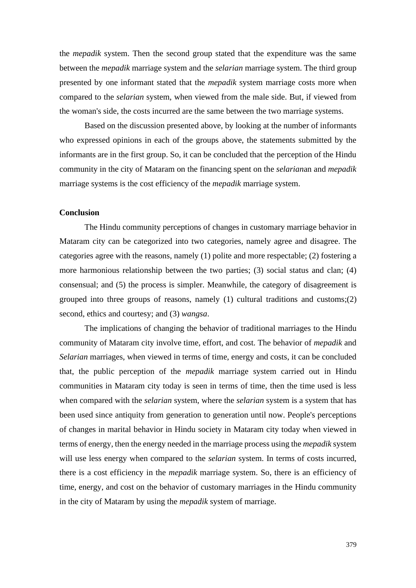the *mepadik* system. Then the second group stated that the expenditure was the same between the *mepadik* marriage system and the *selarian* marriage system. The third group presented by one informant stated that the *mepadik* system marriage costs more when compared to the *selarian* system, when viewed from the male side. But, if viewed from the woman's side, the costs incurred are the same between the two marriage systems.

Based on the discussion presented above, by looking at the number of informants who expressed opinions in each of the groups above, the statements submitted by the informants are in the first group. So, it can be concluded that the perception of the Hindu community in the city of Mataram on the financing spent on the *selarian*an and *mepadik* marriage systems is the cost efficiency of the *mepadik* marriage system.

# **Conclusion**

The Hindu community perceptions of changes in customary marriage behavior in Mataram city can be categorized into two categories, namely agree and disagree. The categories agree with the reasons, namely (1) polite and more respectable; (2) fostering a more harmonious relationship between the two parties; (3) social status and clan; (4) consensual; and (5) the process is simpler. Meanwhile, the category of disagreement is grouped into three groups of reasons, namely (1) cultural traditions and customs;(2) second, ethics and courtesy; and (3) *wangsa*.

The implications of changing the behavior of traditional marriages to the Hindu community of Mataram city involve time, effort, and cost. The behavior of *mepadik* and *Selarian* marriages, when viewed in terms of time, energy and costs, it can be concluded that, the public perception of the *mepadik* marriage system carried out in Hindu communities in Mataram city today is seen in terms of time, then the time used is less when compared with the *selarian* system, where the *selarian* system is a system that has been used since antiquity from generation to generation until now. People's perceptions of changes in marital behavior in Hindu society in Mataram city today when viewed in terms of energy, then the energy needed in the marriage process using the *mepadik* system will use less energy when compared to the *selarian* system. In terms of costs incurred, there is a cost efficiency in the *mepadik* marriage system. So, there is an efficiency of time, energy, and cost on the behavior of customary marriages in the Hindu community in the city of Mataram by using the *mepadik* system of marriage.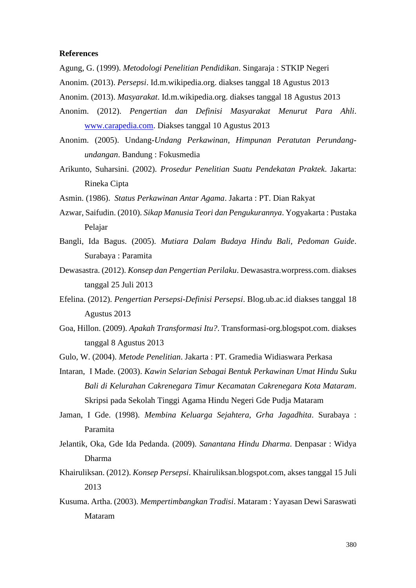## **References**

- Agung, G. (1999). *Metodologi Penelitian Pendidikan*. Singaraja : STKIP Negeri
- Anonim. (2013). *Persepsi*. Id.m.wikipedia.org. diakses tanggal 18 Agustus 2013
- Anonim. (2013). *Masyarakat*. Id.m.wikipedia.org. diakses tanggal 18 Agustus 2013
- Anonim. (2012). *Pengertian dan Definisi Masyarakat Menurut Para Ahli*. [www.carapedia.com.](http://www.carapedia.com/) Diakses tanggal 10 Agustus 2013
- Anonim. (2005). Undang*-Undang Perkawinan, Himpunan Peratutan Perundangundangan*. Bandung : Fokusmedia
- Arikunto, Suharsini. (2002). *Prosedur Penelitian Suatu Pendekatan Praktek*. Jakarta: Rineka Cipta
- Asmin. (1986). *Status Perkawinan Antar Agama*. Jakarta : PT. Dian Rakyat
- Azwar, Saifudin. (2010). *Sikap Manusia Teori dan Pengukurannya*. Yogyakarta : Pustaka Pelajar
- Bangli, Ida Bagus. (2005). *Mutiara Dalam Budaya Hindu Bali, Pedoman Guide*. Surabaya : Paramita
- Dewasastra. (2012). *Konsep dan Pengertian Perilaku*. Dewasastra.worpress.com. diakses tanggal 25 Juli 2013
- Efelina. (2012). *Pengertian Persepsi-Definisi Persepsi*. Blog.ub.ac.id diakses tanggal 18 Agustus 2013
- Goa, Hillon. (2009). *Apakah Transformasi Itu?*. Transformasi-org.blogspot.com. diakses tanggal 8 Agustus 2013
- Gulo, W. (2004). *Metode Penelitian*. Jakarta : PT. Gramedia Widiaswara Perkasa
- Intaran, I Made. (2003). *Kawin Selarian Sebagai Bentuk Perkawinan Umat Hindu Suku Bali di Kelurahan Cakrenegara Timur Kecamatan Cakrenegara Kota Mataram*. Skripsi pada Sekolah Tinggi Agama Hindu Negeri Gde Pudja Mataram
- Jaman, I Gde. (1998). *Membina Keluarga Sejahtera, Grha Jagadhita*. Surabaya : Paramita
- Jelantik, Oka, Gde Ida Pedanda. (2009). *Sanantana Hindu Dharma*. Denpasar : Widya Dharma
- Khairuliksan. (2012). *Konsep Persepsi*. Khairuliksan.blogspot.com, akses tanggal 15 Juli 2013
- Kusuma. Artha. (2003). *Mempertimbangkan Tradisi*. Mataram : Yayasan Dewi Saraswati Mataram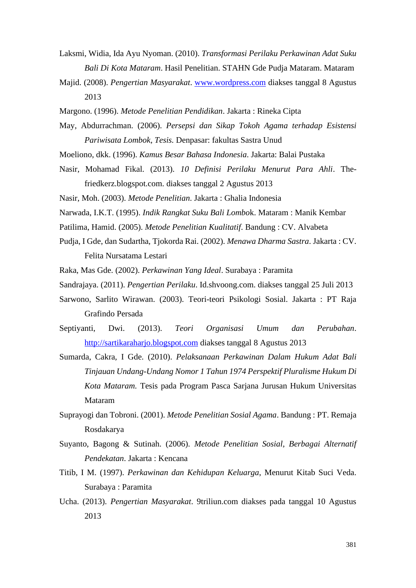- Laksmi, Widia, Ida Ayu Nyoman. (2010). *Transformasi Perilaku Perkawinan Adat Suku Bali Di Kota Mataram*. Hasil Penelitian. STAHN Gde Pudja Mataram. Mataram
- Majid. (2008). *Pengertian Masyarakat*. [www.wordpress.com](http://www.wordpress.com/) diakses tanggal 8 Agustus 2013
- Margono. (1996). *Metode Penelitian Pendidikan*. Jakarta : Rineka Cipta
- May, Abdurrachman. (2006). *Persepsi dan Sikap Tokoh Agama terhadap Esistensi Pariwisata Lombok*, *Tesis.* Denpasar: fakultas Sastra Unud
- Moeliono, dkk. (1996). *Kamus Besar Bahasa Indonesia*. Jakarta: Balai Pustaka
- Nasir, Mohamad Fikal. (2013). *10 Definisi Perilaku Menurut Para Ahli*. Thefriedkerz.blogspot.com. diakses tanggal 2 Agustus 2013
- Nasir, Moh. (2003). *Metode Penelitian*. Jakarta : Ghalia Indonesia
- Narwada, I.K.T. (1995). *Indik Rangkat Suku Bali Lombo*k. Mataram : Manik Kembar
- Patilima, Hamid. (2005). *Metode Penelitian Kualitatif*. Bandung : CV. Alvabeta
- Pudja, I Gde, dan Sudartha, Tjokorda Rai. (2002). *Menawa Dharma Sastra*. Jakarta : CV. Felita Nursatama Lestari
- Raka, Mas Gde. (2002). *Perkawinan Yang Ideal*. Surabaya : Paramita
- Sandrajaya. (2011). *Pengertian Perilaku*. Id.shvoong.com. diakses tanggal 25 Juli 2013
- Sarwono, Sarlito Wirawan. (2003). Teori-teori Psikologi Sosial. Jakarta : PT Raja Grafindo Persada
- Septiyanti, Dwi. (2013). *Teori Organisasi Umum dan Perubahan*. [http://sartikaraharjo.blogspot.com](http://sartikaraharjo.blogspot.com/) diakses tanggal 8 Agustus 2013
- Sumarda, Cakra, I Gde. (2010). *Pelaksanaan Perkawinan Dalam Hukum Adat Bali Tinjauan Undang-Undang Nomor 1 Tahun 1974 Perspektif Pluralisme Hukum Di Kota Mataram.* Tesis pada Program Pasca Sarjana Jurusan Hukum Universitas Mataram
- Suprayogi dan Tobroni. (2001). *Metode Penelitian Sosial Agama*. Bandung : PT. Remaja Rosdakarya
- Suyanto, Bagong & Sutinah. (2006). *Metode Penelitian Sosial, Berbagai Alternatif Pendekatan*. Jakarta : Kencana
- Titib, I M. (1997). *Perkawinan dan Kehidupan Keluarga*, Menurut Kitab Suci Veda. Surabaya : Paramita
- Ucha. (2013). *Pengertian Masyarakat*. 9triliun.com diakses pada tanggal 10 Agustus 2013